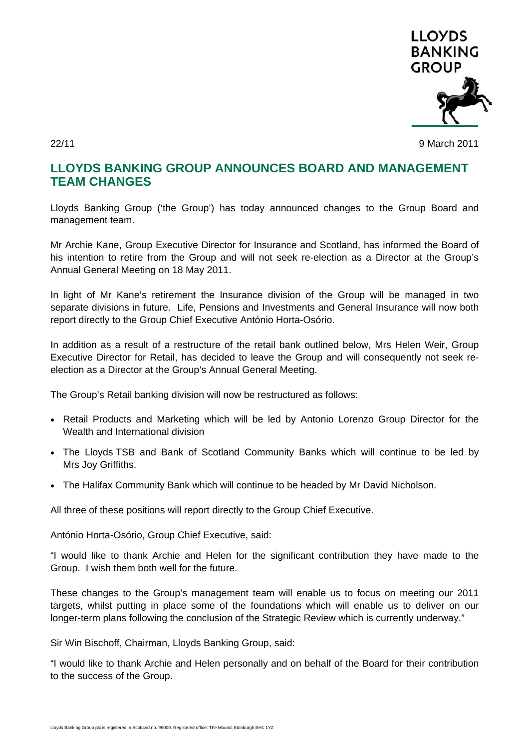

22/11 9 March 2011

## **LLOYDS BANKING GROUP ANNOUNCES BOARD AND MANAGEMENT TEAM CHANGES**

Lloyds Banking Group ('the Group') has today announced changes to the Group Board and management team.

Mr Archie Kane, Group Executive Director for Insurance and Scotland, has informed the Board of his intention to retire from the Group and will not seek re-election as a Director at the Group's Annual General Meeting on 18 May 2011.

In light of Mr Kane's retirement the Insurance division of the Group will be managed in two separate divisions in future. Life, Pensions and Investments and General Insurance will now both report directly to the Group Chief Executive António Horta-Osório.

In addition as a result of a restructure of the retail bank outlined below, Mrs Helen Weir, Group Executive Director for Retail, has decided to leave the Group and will consequently not seek reelection as a Director at the Group's Annual General Meeting.

The Group's Retail banking division will now be restructured as follows:

- Retail Products and Marketing which will be led by Antonio Lorenzo Group Director for the Wealth and International division
- The Lloyds TSB and Bank of Scotland Community Banks which will continue to be led by Mrs Joy Griffiths.
- The Halifax Community Bank which will continue to be headed by Mr David Nicholson.

All three of these positions will report directly to the Group Chief Executive.

António Horta-Osório, Group Chief Executive, said:

"I would like to thank Archie and Helen for the significant contribution they have made to the Group. I wish them both well for the future.

These changes to the Group's management team will enable us to focus on meeting our 2011 targets, whilst putting in place some of the foundations which will enable us to deliver on our longer-term plans following the conclusion of the Strategic Review which is currently underway."

Sir Win Bischoff, Chairman, Lloyds Banking Group, said:

"I would like to thank Archie and Helen personally and on behalf of the Board for their contribution to the success of the Group.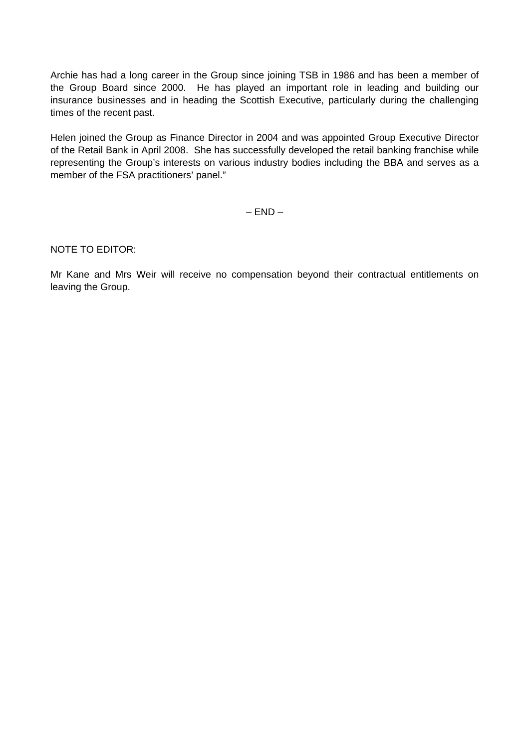Archie has had a long career in the Group since joining TSB in 1986 and has been a member of the Group Board since 2000. He has played an important role in leading and building our insurance businesses and in heading the Scottish Executive, particularly during the challenging times of the recent past.

Helen joined the Group as Finance Director in 2004 and was appointed Group Executive Director of the Retail Bank in April 2008. She has successfully developed the retail banking franchise while representing the Group's interests on various industry bodies including the BBA and serves as a member of the FSA practitioners' panel."

 $-$  END  $-$ 

NOTE TO EDITOR:

Mr Kane and Mrs Weir will receive no compensation beyond their contractual entitlements on leaving the Group.